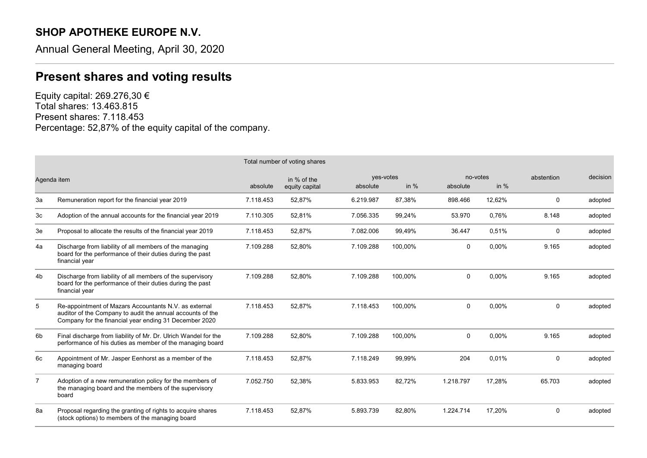## SHOP APOTHEKE EUROPE N.V.

Annual General Meeting, April 30, 2020

## Present shares and voting results

Equity capital: 269.276,30 € Total shares: 13.463.815 Present shares: 7.118.453 Percentage: 52,87% of the equity capital of the company.

|                | Total number of voting shares                                                                                                                                                 |           |                                                                  |           |                                |              |            |             |         |
|----------------|-------------------------------------------------------------------------------------------------------------------------------------------------------------------------------|-----------|------------------------------------------------------------------|-----------|--------------------------------|--------------|------------|-------------|---------|
| Agenda item    |                                                                                                                                                                               | absolute  | yes-votes<br>in % of the<br>in $%$<br>equity capital<br>absolute |           | no-votes<br>in $%$<br>absolute |              | abstention | decision    |         |
| За             | Remuneration report for the financial year 2019                                                                                                                               | 7.118.453 | 52,87%                                                           | 6.219.987 | 87.38%                         | 898.466      | 12,62%     | 0           | adopted |
| 3c             | Adoption of the annual accounts for the financial year 2019                                                                                                                   | 7.110.305 | 52,81%                                                           | 7.056.335 | 99.24%                         | 53.970       | 0.76%      | 8.148       | adopted |
| 3e             | Proposal to allocate the results of the financial year 2019                                                                                                                   | 7.118.453 | 52,87%                                                           | 7.082.006 | 99,49%                         | 36.447       | 0,51%      | 0           | adopted |
| 4a             | Discharge from liability of all members of the managing<br>board for the performance of their duties during the past<br>financial year                                        | 7.109.288 | 52,80%                                                           | 7.109.288 | 100.00%                        | 0            | 0.00%      | 9.165       | adopted |
| 4b             | Discharge from liability of all members of the supervisory<br>board for the performance of their duties during the past<br>financial year                                     | 7.109.288 | 52,80%                                                           | 7.109.288 | 100,00%                        | $\Omega$     | 0,00%      | 9.165       | adopted |
| 5              | Re-appointment of Mazars Accountants N.V. as external<br>auditor of the Company to audit the annual accounts of the<br>Company for the financial year ending 31 December 2020 | 7.118.453 | 52,87%                                                           | 7.118.453 | 100,00%                        | $\mathbf 0$  | 0.00%      | $\mathbf 0$ | adopted |
| 6b             | Final discharge from liability of Mr. Dr. Ulrich Wandel for the<br>performance of his duties as member of the managing board                                                  | 7.109.288 | 52,80%                                                           | 7.109.288 | 100,00%                        | $\mathbf{0}$ | 0,00%      | 9.165       | adopted |
| 6с             | Appointment of Mr. Jasper Eenhorst as a member of the<br>managing board                                                                                                       | 7.118.453 | 52,87%                                                           | 7.118.249 | 99.99%                         | 204          | 0.01%      | $\mathbf 0$ | adopted |
| $\overline{7}$ | Adoption of a new remuneration policy for the members of<br>the managing board and the members of the supervisory<br>board                                                    | 7.052.750 | 52,38%                                                           | 5.833.953 | 82.72%                         | 1.218.797    | 17.28%     | 65.703      | adopted |
| 8a             | Proposal regarding the granting of rights to acquire shares<br>(stock options) to members of the managing board                                                               | 7.118.453 | 52,87%                                                           | 5.893.739 | 82.80%                         | 1.224.714    | 17,20%     | $\mathbf 0$ | adopted |